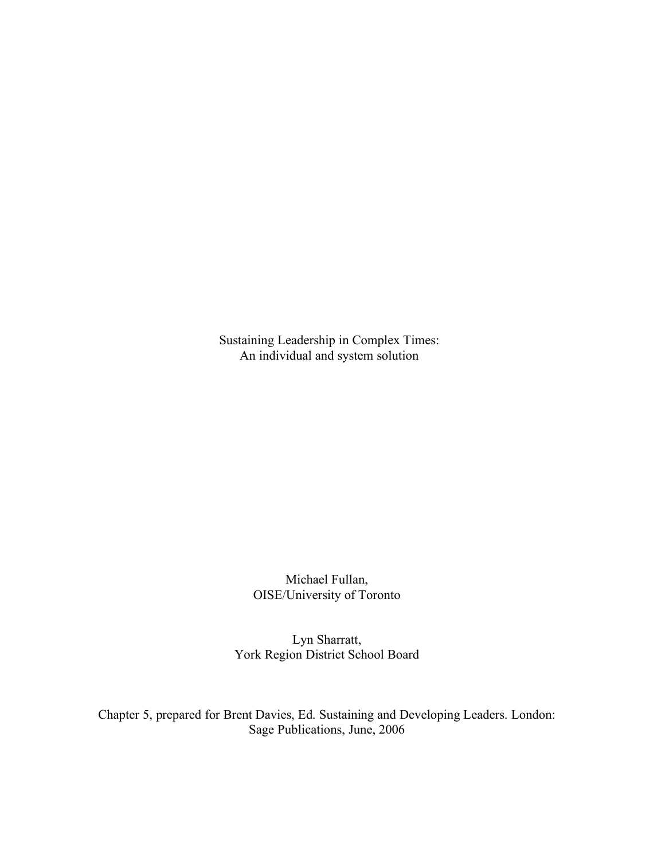Sustaining Leadership in Complex Times: An individual and system solution

> Michael Fullan, OISE/University of Toronto

Lyn Sharratt, York Region District School Board

Chapter 5, prepared for Brent Davies, Ed. Sustaining and Developing Leaders. London: Sage Publications, June, 2006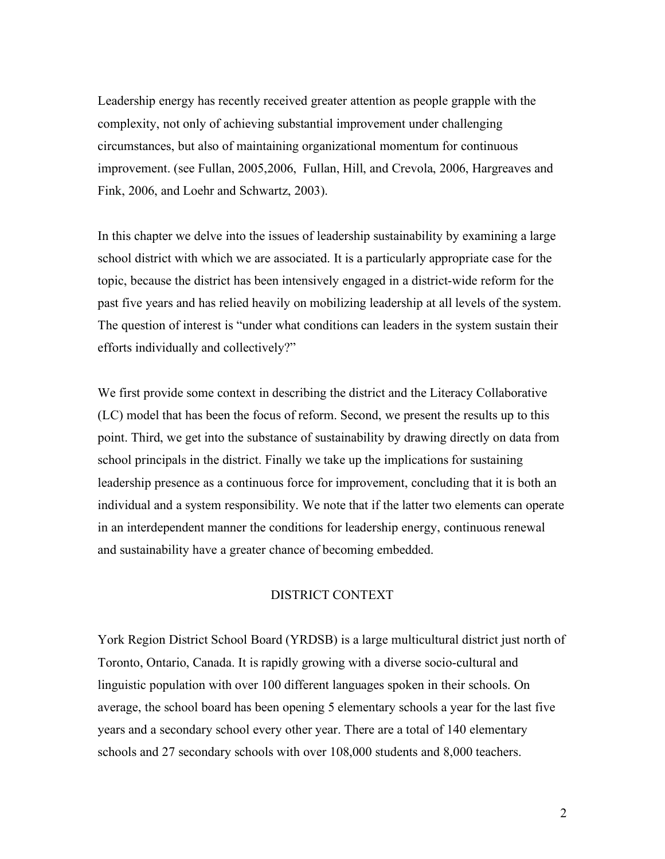Leadership energy has recently received greater attention as people grapple with the complexity, not only of achieving substantial improvement under challenging circumstances, but also of maintaining organizational momentum for continuous improvement. (see Fullan, 2005,2006, Fullan, Hill, and Crevola, 2006, Hargreaves and Fink, 2006, and Loehr and Schwartz, 2003).

In this chapter we delve into the issues of leadership sustainability by examining a large school district with which we are associated. It is a particularly appropriate case for the topic, because the district has been intensively engaged in a district-wide reform for the past five years and has relied heavily on mobilizing leadership at all levels of the system. The question of interest is "under what conditions can leaders in the system sustain their efforts individually and collectively?"

We first provide some context in describing the district and the Literacy Collaborative (LC) model that has been the focus of reform. Second, we present the results up to this point. Third, we get into the substance of sustainability by drawing directly on data from school principals in the district. Finally we take up the implications for sustaining leadership presence as a continuous force for improvement, concluding that it is both an individual and a system responsibility. We note that if the latter two elements can operate in an interdependent manner the conditions for leadership energy, continuous renewal and sustainability have a greater chance of becoming embedded.

## DISTRICT CONTEXT

York Region District School Board (YRDSB) is a large multicultural district just north of Toronto, Ontario, Canada. It is rapidly growing with a diverse socio-cultural and linguistic population with over 100 different languages spoken in their schools. On average, the school board has been opening 5 elementary schools a year for the last five years and a secondary school every other year. There are a total of 140 elementary schools and 27 secondary schools with over 108,000 students and 8,000 teachers.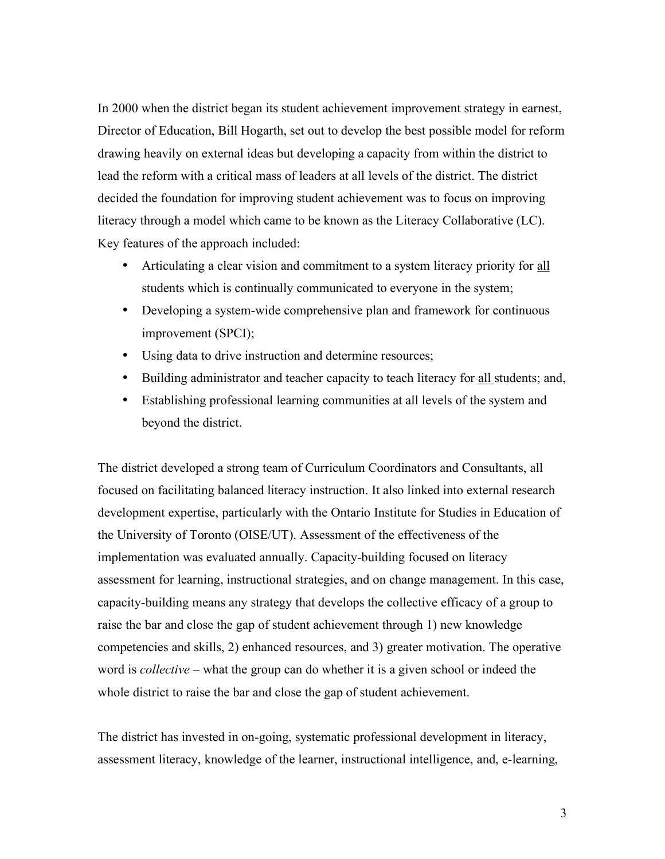In 2000 when the district began its student achievement improvement strategy in earnest, Director of Education, Bill Hogarth, set out to develop the best possible model for reform drawing heavily on external ideas but developing a capacity from within the district to lead the reform with a critical mass of leaders at all levels of the district. The district decided the foundation for improving student achievement was to focus on improving literacy through a model which came to be known as the Literacy Collaborative (LC). Key features of the approach included:

- Articulating a clear vision and commitment to a system literacy priority for all students which is continually communicated to everyone in the system;
- Developing a system-wide comprehensive plan and framework for continuous improvement (SPCI);
- Using data to drive instruction and determine resources;
- Building administrator and teacher capacity to teach literacy for all students; and,
- Establishing professional learning communities at all levels of the system and beyond the district.

The district developed a strong team of Curriculum Coordinators and Consultants, all focused on facilitating balanced literacy instruction. It also linked into external research development expertise, particularly with the Ontario Institute for Studies in Education of the University of Toronto (OISE/UT). Assessment of the effectiveness of the implementation was evaluated annually. Capacity-building focused on literacy assessment for learning, instructional strategies, and on change management. In this case, capacity-building means any strategy that develops the collective efficacy of a group to raise the bar and close the gap of student achievement through 1) new knowledge competencies and skills, 2) enhanced resources, and 3) greater motivation. The operative word is *collective* – what the group can do whether it is a given school or indeed the whole district to raise the bar and close the gap of student achievement.

The district has invested in on-going, systematic professional development in literacy, assessment literacy, knowledge of the learner, instructional intelligence, and, e-learning,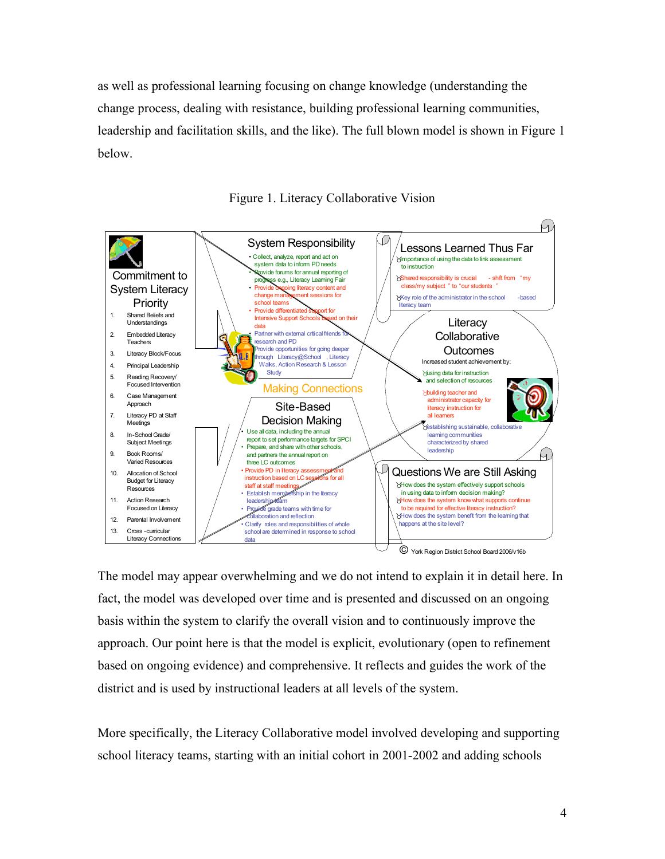as well as professional learning focusing on change knowledge (understanding the change process, dealing with resistance, building professional learning communities, leadership and facilitation skills, and the like). The full blown model is shown in Figure 1 below.





The model may appear overwhelming and we do not intend to explain it in detail here. In fact, the model was developed over time and is presented and discussed on an ongoing basis within the system to clarify the overall vision and to continuously improve the approach. Our point here is that the model is explicit, evolutionary (open to refinement based on ongoing evidence) and comprehensive. It reflects and guides the work of the district and is used by instructional leaders at all levels of the system.

More specifically, the Literacy Collaborative model involved developing and supporting school literacy teams, starting with an initial cohort in 2001-2002 and adding schools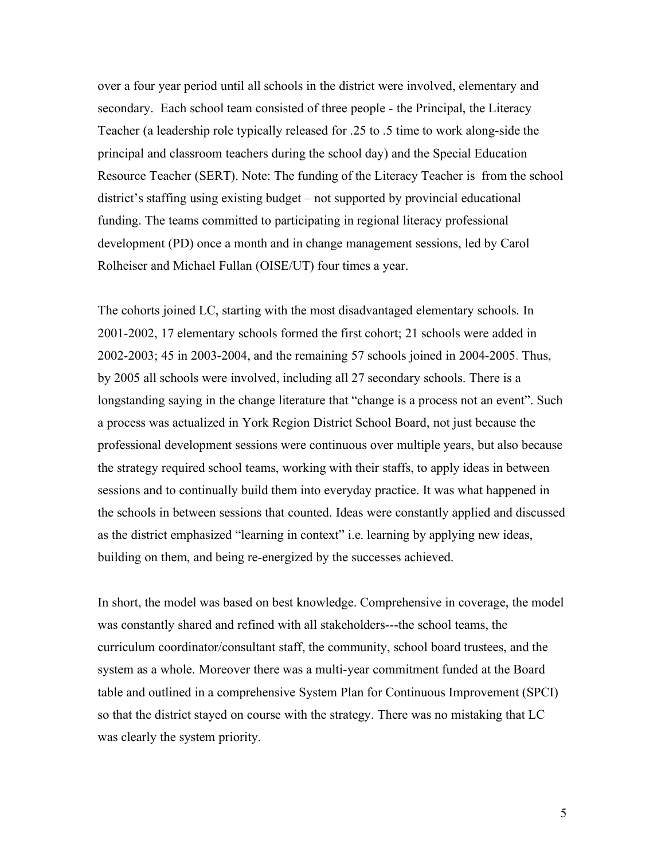over a four year period until all schools in the district were involved, elementary and secondary. Each school team consisted of three people - the Principal, the Literacy Teacher (a leadership role typically released for .25 to .5 time to work along-side the principal and classroom teachers during the school day) and the Special Education Resource Teacher (SERT). Note: The funding of the Literacy Teacher is from the school district's staffing using existing budget – not supported by provincial educational funding. The teams committed to participating in regional literacy professional development (PD) once a month and in change management sessions, led by Carol Rolheiser and Michael Fullan (OISE/UT) four times a year.

The cohorts joined LC, starting with the most disadvantaged elementary schools. In 2001-2002, 17 elementary schools formed the first cohort; 21 schools were added in 2002-2003; 45 in 2003-2004, and the remaining 57 schools joined in 2004-2005. Thus, by 2005 all schools were involved, including all 27 secondary schools. There is a longstanding saying in the change literature that "change is a process not an event". Such a process was actualized in York Region District School Board, not just because the professional development sessions were continuous over multiple years, but also because the strategy required school teams, working with their staffs, to apply ideas in between sessions and to continually build them into everyday practice. It was what happened in the schools in between sessions that counted. Ideas were constantly applied and discussed as the district emphasized "learning in context" i.e. learning by applying new ideas, building on them, and being re-energized by the successes achieved.

In short, the model was based on best knowledge. Comprehensive in coverage, the model was constantly shared and refined with all stakeholders---the school teams, the curriculum coordinator/consultant staff, the community, school board trustees, and the system as a whole. Moreover there was a multi-year commitment funded at the Board table and outlined in a comprehensive System Plan for Continuous Improvement (SPCI) so that the district stayed on course with the strategy. There was no mistaking that LC was clearly the system priority.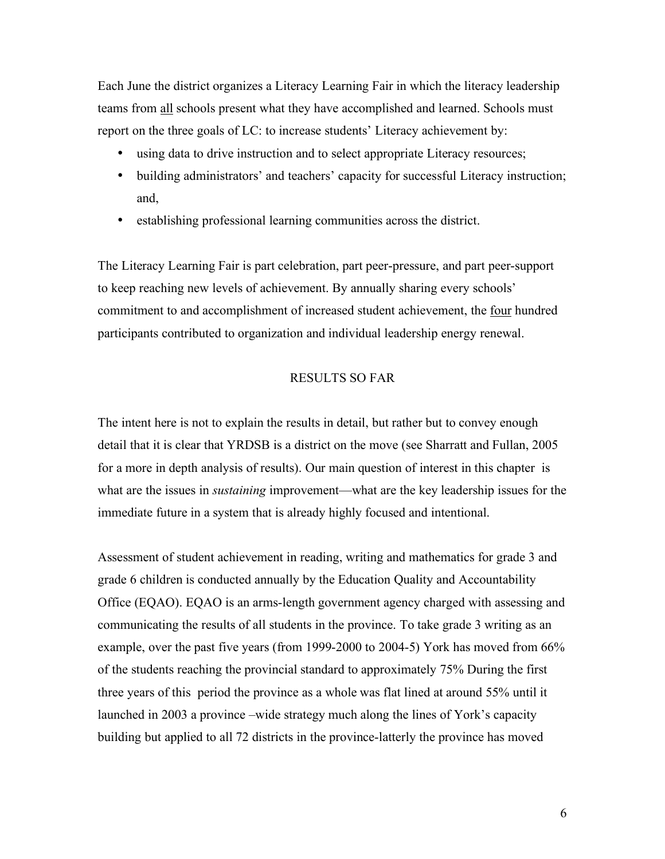Each June the district organizes a Literacy Learning Fair in which the literacy leadership teams from all schools present what they have accomplished and learned. Schools must report on the three goals of LC: to increase students' Literacy achievement by:

- using data to drive instruction and to select appropriate Literacy resources;
- building administrators' and teachers' capacity for successful Literacy instruction; and,
- establishing professional learning communities across the district.

The Literacy Learning Fair is part celebration, part peer-pressure, and part peer-support to keep reaching new levels of achievement. By annually sharing every schools' commitment to and accomplishment of increased student achievement, the four hundred participants contributed to organization and individual leadership energy renewal.

## RESULTS SO FAR

The intent here is not to explain the results in detail, but rather but to convey enough detail that it is clear that YRDSB is a district on the move (see Sharratt and Fullan, 2005 for a more in depth analysis of results). Our main question of interest in this chapter is what are the issues in *sustaining* improvement—what are the key leadership issues for the immediate future in a system that is already highly focused and intentional.

Assessment of student achievement in reading, writing and mathematics for grade 3 and grade 6 children is conducted annually by the Education Quality and Accountability Office (EQAO). EQAO is an arms-length government agency charged with assessing and communicating the results of all students in the province. To take grade 3 writing as an example, over the past five years (from 1999-2000 to 2004-5) York has moved from 66% of the students reaching the provincial standard to approximately 75% During the first three years of this period the province as a whole was flat lined at around 55% until it launched in 2003 a province –wide strategy much along the lines of York's capacity building but applied to all 72 districts in the province-latterly the province has moved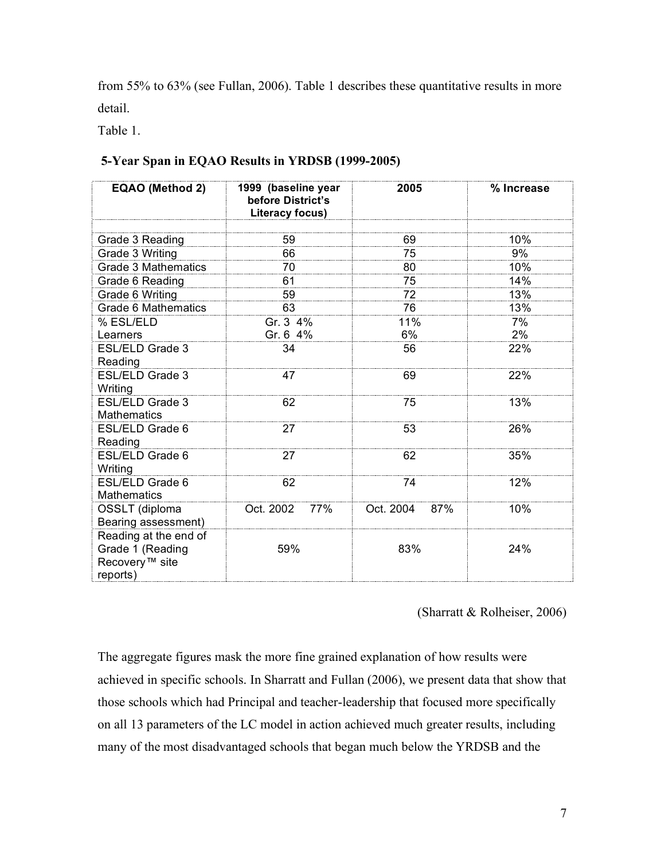from 55% to 63% (see Fullan, 2006). Table 1 describes these quantitative results in more detail.

Table 1.

## **5-Year Span in EQAO Results in YRDSB (1999-2005)**

| EQAO (Method 2)                                                                     | 1999 (baseline year<br>before District's<br>Literacy focus) | 2005             | % Increase |
|-------------------------------------------------------------------------------------|-------------------------------------------------------------|------------------|------------|
|                                                                                     |                                                             |                  |            |
| Grade 3 Reading                                                                     | 59                                                          | 69               | 10%        |
| Grade 3 Writing                                                                     | 66                                                          | 75               | 9%         |
| <b>Grade 3 Mathematics</b>                                                          | 70                                                          | 80               | 10%        |
| Grade 6 Reading                                                                     | 61                                                          | 75               | 14%        |
| Grade 6 Writing                                                                     | 59                                                          | 72               | 13%        |
| <b>Grade 6 Mathematics</b>                                                          | 63                                                          | 76               | 13%        |
| % ESL/ELD                                                                           | Gr. 3 4%                                                    | 11%              | 7%         |
| Learners                                                                            | Gr. 6 4%                                                    | 6%               | 2%         |
| ESL/ELD Grade 3<br>Reading                                                          | 34                                                          | 56               | 22%        |
| ESL/ELD Grade 3<br>Writing                                                          | 47                                                          | 69               | 22%        |
| ESL/ELD Grade 3<br><b>Mathematics</b>                                               | 62                                                          | 75               | 13%        |
| ESL/ELD Grade 6<br>Reading                                                          | 27                                                          | 53               | 26%        |
| ESL/ELD Grade 6<br>Writing                                                          | 27                                                          | 62               | 35%        |
| ESL/ELD Grade 6<br><b>Mathematics</b>                                               | 62                                                          | 74               | 12%        |
| OSSLT (diploma<br>Bearing assessment)                                               | Oct. 2002<br>77%                                            | Oct. 2004<br>87% | 10%        |
| Reading at the end of<br>Grade 1 (Reading<br>Recovery <sup>™</sup> site<br>reports) | 59%                                                         | 83%              | 24%        |

(Sharratt & Rolheiser, 2006)

The aggregate figures mask the more fine grained explanation of how results were achieved in specific schools. In Sharratt and Fullan (2006), we present data that show that those schools which had Principal and teacher-leadership that focused more specifically on all 13 parameters of the LC model in action achieved much greater results, including many of the most disadvantaged schools that began much below the YRDSB and the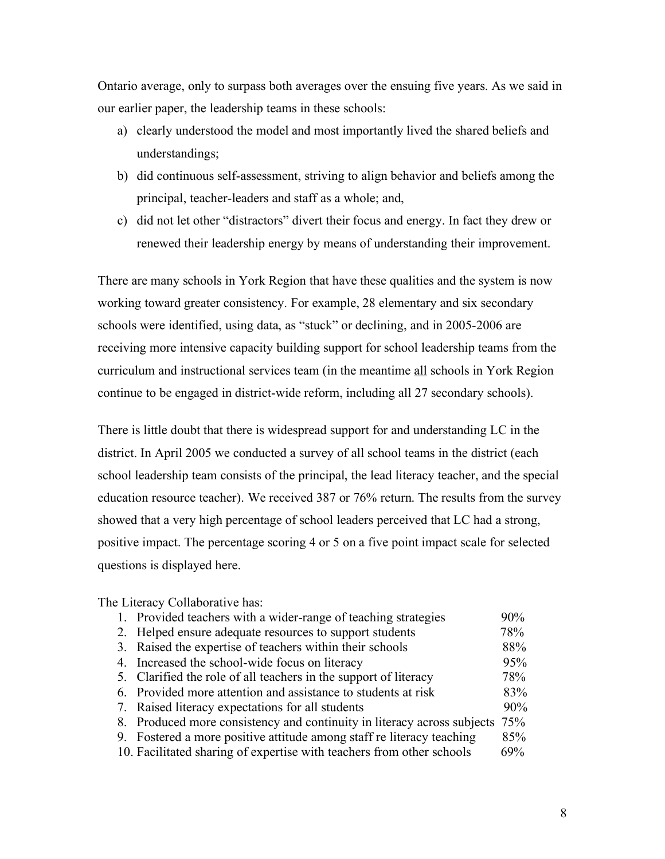Ontario average, only to surpass both averages over the ensuing five years. As we said in our earlier paper, the leadership teams in these schools:

- a) clearly understood the model and most importantly lived the shared beliefs and understandings;
- b) did continuous self-assessment, striving to align behavior and beliefs among the principal, teacher-leaders and staff as a whole; and,
- c) did not let other "distractors" divert their focus and energy. In fact they drew or renewed their leadership energy by means of understanding their improvement.

There are many schools in York Region that have these qualities and the system is now working toward greater consistency. For example, 28 elementary and six secondary schools were identified, using data, as "stuck" or declining, and in 2005-2006 are receiving more intensive capacity building support for school leadership teams from the curriculum and instructional services team (in the meantime all schools in York Region continue to be engaged in district-wide reform, including all 27 secondary schools).

There is little doubt that there is widespread support for and understanding LC in the district. In April 2005 we conducted a survey of all school teams in the district (each school leadership team consists of the principal, the lead literacy teacher, and the special education resource teacher). We received 387 or 76% return. The results from the survey showed that a very high percentage of school leaders perceived that LC had a strong, positive impact. The percentage scoring 4 or 5 on a five point impact scale for selected questions is displayed here.

The Literacy Collaborative has:

| 1. Provided teachers with a wider-range of teaching strategies              | 90% |
|-----------------------------------------------------------------------------|-----|
| 2. Helped ensure adequate resources to support students                     | 78% |
| 3. Raised the expertise of teachers within their schools                    | 88% |
| 4. Increased the school-wide focus on literacy                              | 95% |
| 5. Clarified the role of all teachers in the support of literacy            | 78% |
| 6. Provided more attention and assistance to students at risk               | 83% |
| 7. Raised literacy expectations for all students                            | 90% |
| 8. Produced more consistency and continuity in literacy across subjects 75% |     |
| 9. Fostered a more positive attitude among staff re literacy teaching       | 85% |
| 10. Facilitated sharing of expertise with teachers from other schools       | 69% |
|                                                                             |     |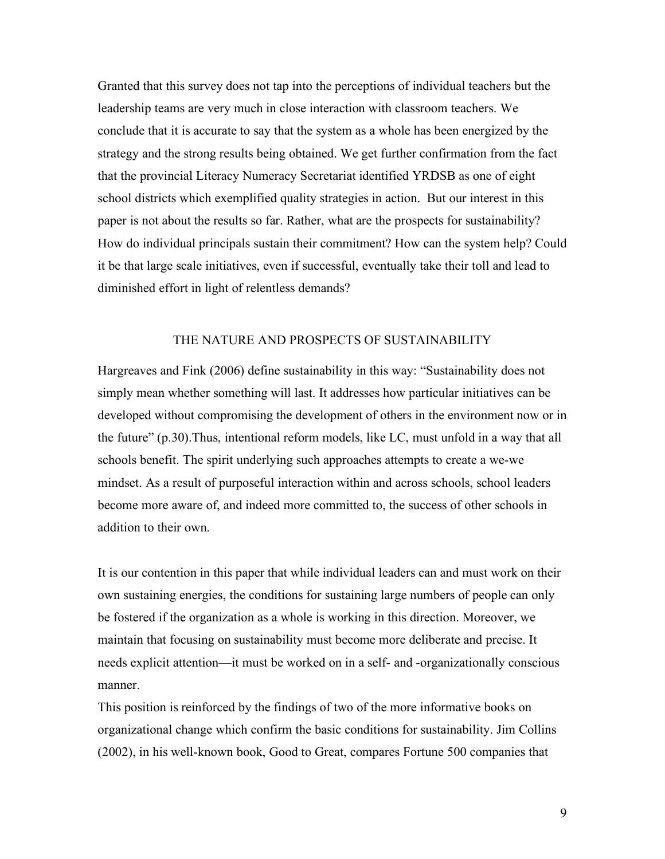Granted that this survey does not tap into the perceptions of individual teachers but the leadership teams are very much in close interaction with classroom teachers. We conclude that it is accurate to say that the system as a whole has been energized by the strategy and the strong results being obtained. We get further confirmation from the fact that the provincial Literacy Numeracy Secretariat identified YRDSB as one of eight school districts which exemplified quality strategies in action. But our interest in this paper is not about the results so far. Rather, what are the prospects for sustainability? How do individual principals sustain their commitment? How can the system help? Could it be that large scale initiatives, even if successful, eventually take their toll and lead to diminished effort in light of relentless demands?

## THE NATURE AND PROSPECTS OF SUSTAINABILITY

Hargreaves and Fink (2006) define sustainability in this way: "Sustainability does not simply mean whether something will last. It addresses how particular initiatives can be developed without compromising the development of others in the environment now or in the future" (p.30).Thus, intentional reform models, like LC, must unfold in a way that all schools benefit. The spirit underlying such approaches attempts to create a we-we mindset. As a result of purposeful interaction within and across schools, school leaders become more aware of, and indeed more committed to, the success of other schools in addition to their own.

It is our contention in this paper that while individual leaders can and must work on their own sustaining energies, the conditions for sustaining large numbers of people can only be fostered if the organization as a whole is working in this direction. Moreover, we maintain that focusing on sustainability must become more deliberate and precise. It needs explicit attention—it must be worked on in a self- and -organizationally conscious manner.

This position is reinforced by the findings of two of the more informative books on organizational change which confirm the basic conditions for sustainability. Jim Collins (2002), in his well-known book, Good to Great, compares Fortune 500 companies that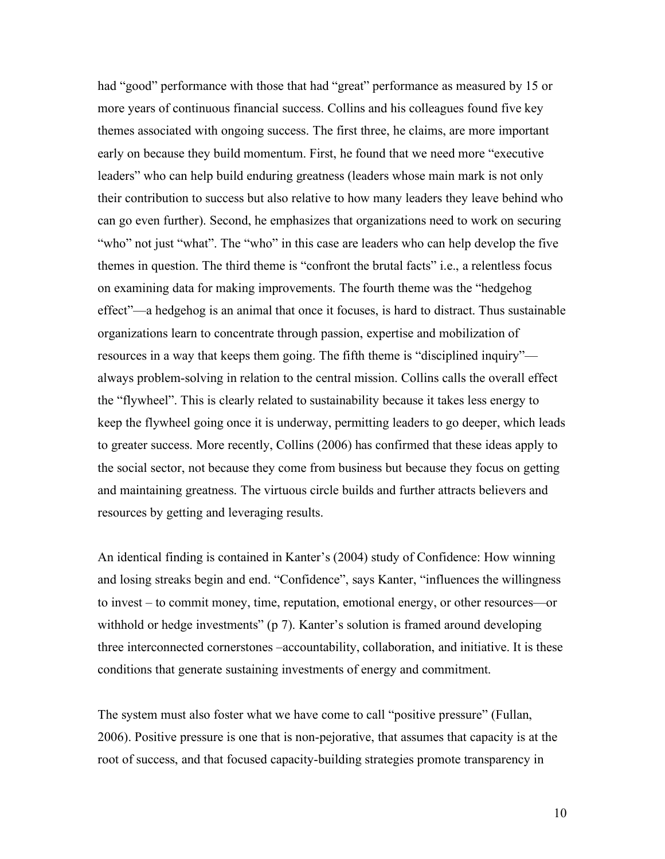had "good" performance with those that had "great" performance as measured by 15 or more years of continuous financial success. Collins and his colleagues found five key themes associated with ongoing success. The first three, he claims, are more important early on because they build momentum. First, he found that we need more "executive leaders" who can help build enduring greatness (leaders whose main mark is not only their contribution to success but also relative to how many leaders they leave behind who can go even further). Second, he emphasizes that organizations need to work on securing "who" not just "what". The "who" in this case are leaders who can help develop the five themes in question. The third theme is "confront the brutal facts" i.e., a relentless focus on examining data for making improvements. The fourth theme was the "hedgehog effect"—a hedgehog is an animal that once it focuses, is hard to distract. Thus sustainable organizations learn to concentrate through passion, expertise and mobilization of resources in a way that keeps them going. The fifth theme is "disciplined inquiry" always problem-solving in relation to the central mission. Collins calls the overall effect the "flywheel". This is clearly related to sustainability because it takes less energy to keep the flywheel going once it is underway, permitting leaders to go deeper, which leads to greater success. More recently, Collins (2006) has confirmed that these ideas apply to the social sector, not because they come from business but because they focus on getting and maintaining greatness. The virtuous circle builds and further attracts believers and resources by getting and leveraging results.

An identical finding is contained in Kanter's (2004) study of Confidence: How winning and losing streaks begin and end. "Confidence", says Kanter, "influences the willingness to invest – to commit money, time, reputation, emotional energy, or other resources—or withhold or hedge investments" (p 7). Kanter's solution is framed around developing three interconnected cornerstones –accountability, collaboration, and initiative. It is these conditions that generate sustaining investments of energy and commitment.

The system must also foster what we have come to call "positive pressure" (Fullan, 2006). Positive pressure is one that is non-pejorative, that assumes that capacity is at the root of success, and that focused capacity-building strategies promote transparency in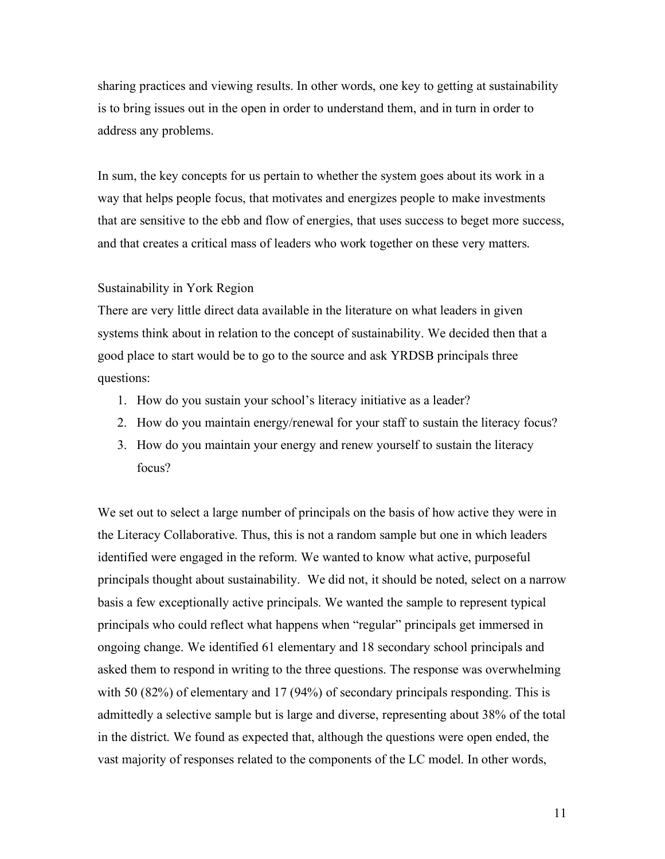sharing practices and viewing results. In other words, one key to getting at sustainability is to bring issues out in the open in order to understand them, and in turn in order to address any problems.

In sum, the key concepts for us pertain to whether the system goes about its work in a way that helps people focus, that motivates and energizes people to make investments that are sensitive to the ebb and flow of energies, that uses success to beget more success, and that creates a critical mass of leaders who work together on these very matters.

#### Sustainability in York Region

There are very little direct data available in the literature on what leaders in given systems think about in relation to the concept of sustainability. We decided then that a good place to start would be to go to the source and ask YRDSB principals three questions:

- 1. How do you sustain your school's literacy initiative as a leader?
- 2. How do you maintain energy/renewal for your staff to sustain the literacy focus?
- 3. How do you maintain your energy and renew yourself to sustain the literacy focus?

We set out to select a large number of principals on the basis of how active they were in the Literacy Collaborative. Thus, this is not a random sample but one in which leaders identified were engaged in the reform. We wanted to know what active, purposeful principals thought about sustainability. We did not, it should be noted, select on a narrow basis a few exceptionally active principals. We wanted the sample to represent typical principals who could reflect what happens when "regular" principals get immersed in ongoing change. We identified 61 elementary and 18 secondary school principals and asked them to respond in writing to the three questions. The response was overwhelming with 50 (82%) of elementary and 17 (94%) of secondary principals responding. This is admittedly a selective sample but is large and diverse, representing about 38% of the total in the district. We found as expected that, although the questions were open ended, the vast majority of responses related to the components of the LC model. In other words,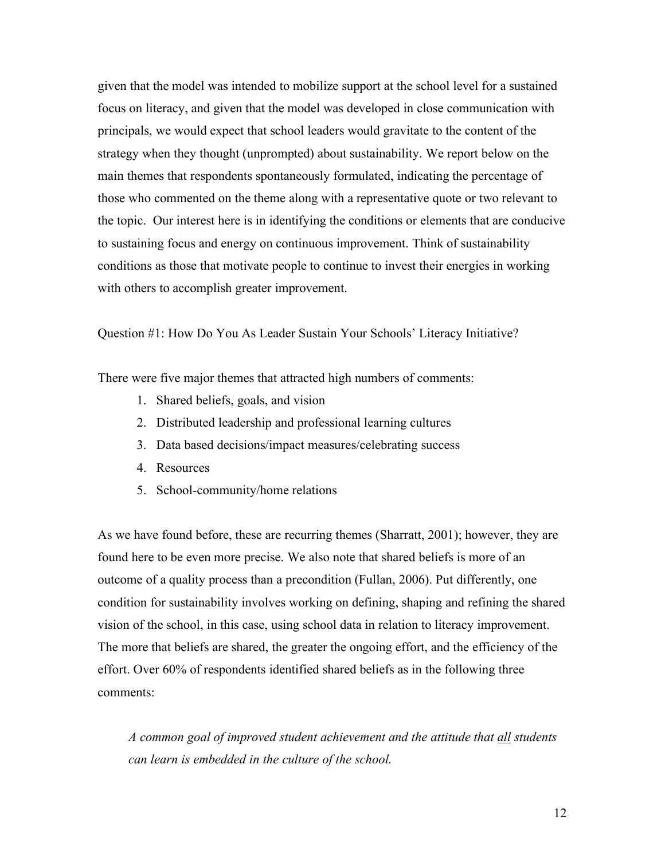given that the model was intended to mobilize support at the school level for a sustained focus on literacy, and given that the model was developed in close communication with principals, we would expect that school leaders would gravitate to the content of the strategy when they thought (unprompted) about sustainability. We report below on the main themes that respondents spontaneously formulated, indicating the percentage of those who commented on the theme along with a representative quote or two relevant to the topic. Our interest here is in identifying the conditions or elements that are conducive to sustaining focus and energy on continuous improvement. Think of sustainability conditions as those that motivate people to continue to invest their energies in working with others to accomplish greater improvement.

Question #1: How Do You As Leader Sustain Your Schools' Literacy Initiative?

There were five major themes that attracted high numbers of comments:

- 1. Shared beliefs, goals, and vision
- 2. Distributed leadership and professional learning cultures
- 3. Data based decisions/impact measures/celebrating success
- 4. Resources
- 5. School-community/home relations

As we have found before, these are recurring themes (Sharratt, 2001); however, they are found here to be even more precise. We also note that shared beliefs is more of an outcome of a quality process than a precondition (Fullan, 2006). Put differently, one condition for sustainability involves working on defining, shaping and refining the shared vision of the school, in this case, using school data in relation to literacy improvement. The more that beliefs are shared, the greater the ongoing effort, and the efficiency of the effort. Over 60% of respondents identified shared beliefs as in the following three comments:

*A common goal of improved student achievement and the attitude that all students can learn is embedded in the culture of the school.*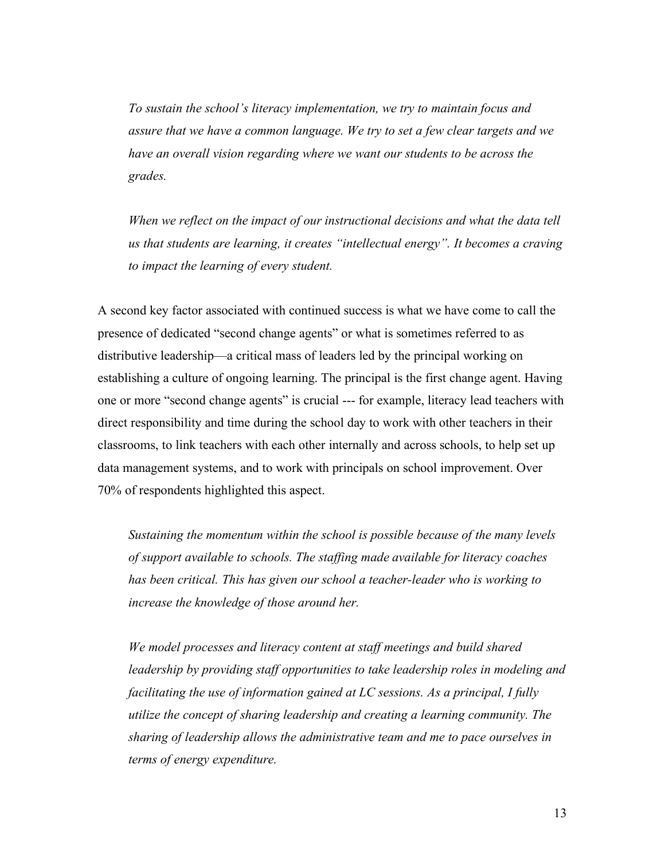*To sustain the school's literacy implementation, we try to maintain focus and assure that we have a common language. We try to set a few clear targets and we have an overall vision regarding where we want our students to be across the grades.*

*When we reflect on the impact of our instructional decisions and what the data tell us that students are learning, it creates "intellectual energy". It becomes a craving to impact the learning of every student.*

A second key factor associated with continued success is what we have come to call the presence of dedicated "second change agents" or what is sometimes referred to as distributive leadership—a critical mass of leaders led by the principal working on establishing a culture of ongoing learning. The principal is the first change agent. Having one or more "second change agents" is crucial --- for example, literacy lead teachers with direct responsibility and time during the school day to work with other teachers in their classrooms, to link teachers with each other internally and across schools, to help set up data management systems, and to work with principals on school improvement. Over 70% of respondents highlighted this aspect.

*Sustaining the momentum within the school is possible because of the many levels of support available to schools. The staffing made available for literacy coaches has been critical. This has given our school a teacher-leader who is working to increase the knowledge of those around her.*

*We model processes and literacy content at staff meetings and build shared leadership by providing staff opportunities to take leadership roles in modeling and facilitating the use of information gained at LC sessions. As a principal, I fully utilize the concept of sharing leadership and creating a learning community. The sharing of leadership allows the administrative team and me to pace ourselves in terms of energy expenditure.*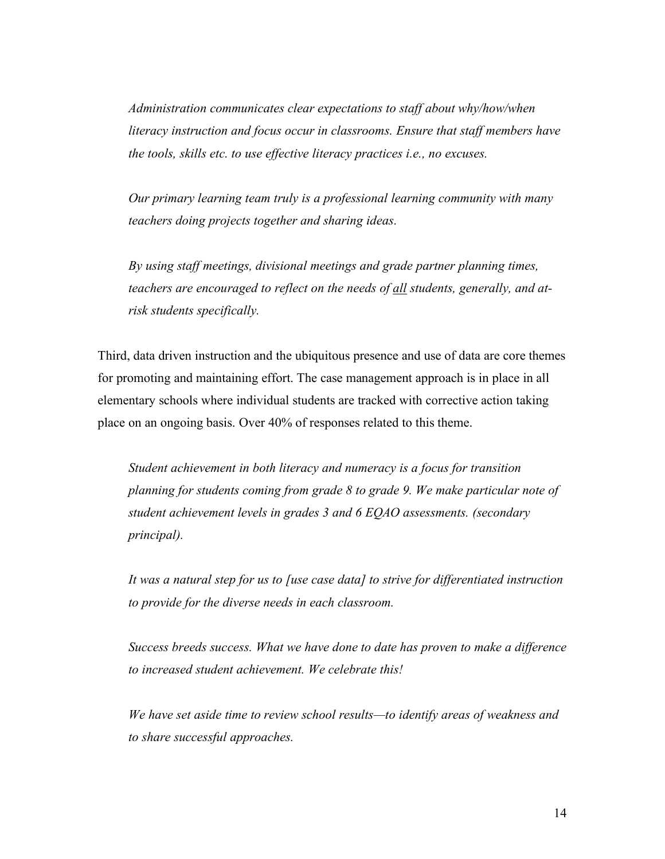*Administration communicates clear expectations to staff about why/how/when literacy instruction and focus occur in classrooms. Ensure that staff members have the tools, skills etc. to use effective literacy practices i.e., no excuses.*

*Our primary learning team truly is a professional learning community with many teachers doing projects together and sharing ideas.*

*By using staff meetings, divisional meetings and grade partner planning times, teachers are encouraged to reflect on the needs of all students, generally, and atrisk students specifically.*

Third, data driven instruction and the ubiquitous presence and use of data are core themes for promoting and maintaining effort. The case management approach is in place in all elementary schools where individual students are tracked with corrective action taking place on an ongoing basis. Over 40% of responses related to this theme.

*Student achievement in both literacy and numeracy is a focus for transition planning for students coming from grade 8 to grade 9. We make particular note of student achievement levels in grades 3 and 6 EQAO assessments. (secondary principal).*

*It was a natural step for us to [use case data] to strive for differentiated instruction to provide for the diverse needs in each classroom.*

*Success breeds success. What we have done to date has proven to make a difference to increased student achievement. We celebrate this!*

*We have set aside time to review school results—to identify areas of weakness and to share successful approaches.*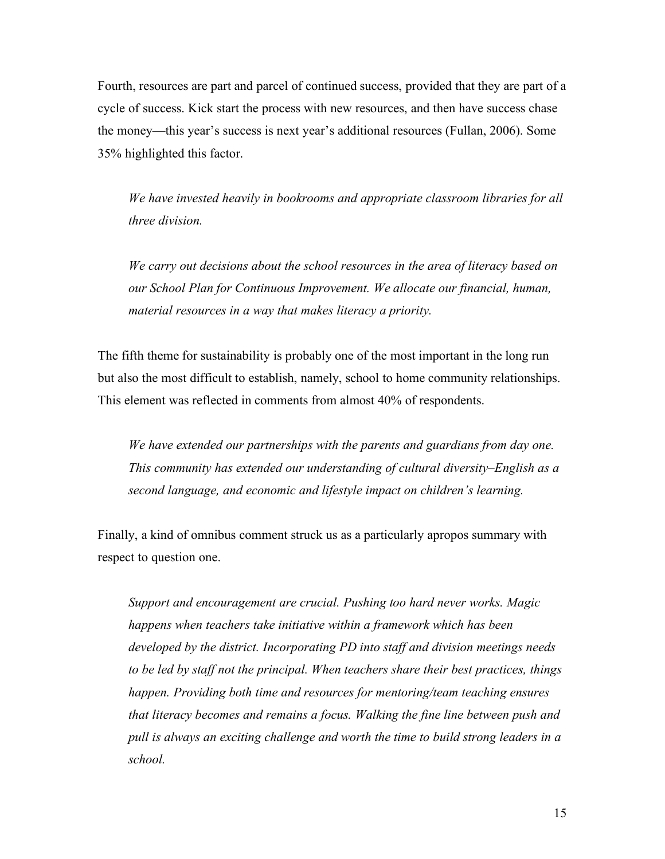Fourth, resources are part and parcel of continued success, provided that they are part of a cycle of success. Kick start the process with new resources, and then have success chase the money—this year's success is next year's additional resources (Fullan, 2006). Some 35% highlighted this factor.

*We have invested heavily in bookrooms and appropriate classroom libraries for all three division.*

*We carry out decisions about the school resources in the area of literacy based on our School Plan for Continuous Improvement. We allocate our financial, human, material resources in a way that makes literacy a priority.*

The fifth theme for sustainability is probably one of the most important in the long run but also the most difficult to establish, namely, school to home community relationships. This element was reflected in comments from almost 40% of respondents.

*We have extended our partnerships with the parents and guardians from day one. This community has extended our understanding of cultural diversity–English as a second language, and economic and lifestyle impact on children's learning.*

Finally, a kind of omnibus comment struck us as a particularly apropos summary with respect to question one.

*Support and encouragement are crucial. Pushing too hard never works. Magic happens when teachers take initiative within a framework which has been developed by the district. Incorporating PD into staff and division meetings needs to be led by staff not the principal. When teachers share their best practices, things happen. Providing both time and resources for mentoring/team teaching ensures that literacy becomes and remains a focus. Walking the fine line between push and pull is always an exciting challenge and worth the time to build strong leaders in a school.*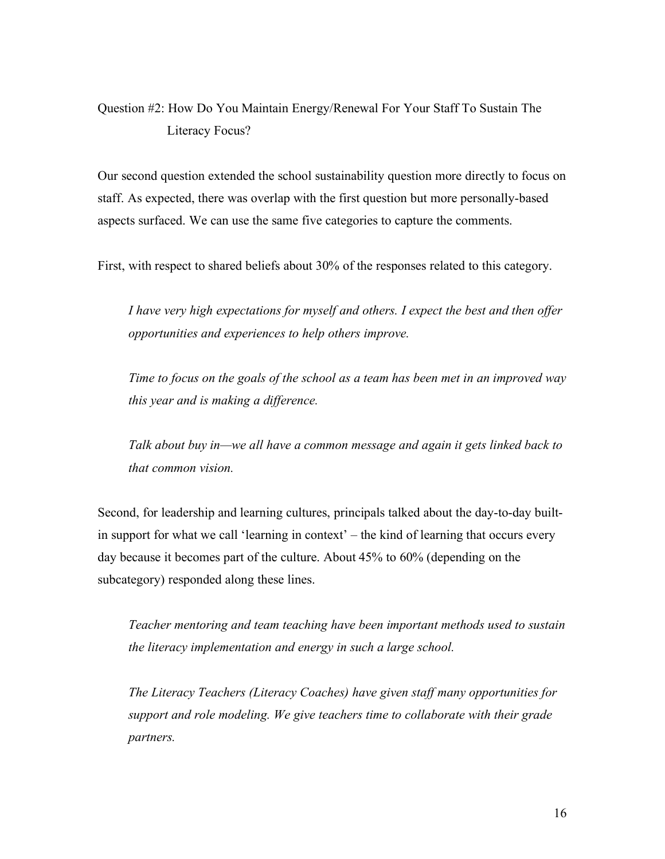# Question #2: How Do You Maintain Energy/Renewal For Your Staff To Sustain The Literacy Focus?

Our second question extended the school sustainability question more directly to focus on staff. As expected, there was overlap with the first question but more personally-based aspects surfaced. We can use the same five categories to capture the comments.

First, with respect to shared beliefs about 30% of the responses related to this category.

*I have very high expectations for myself and others. I expect the best and then offer opportunities and experiences to help others improve.*

*Time to focus on the goals of the school as a team has been met in an improved way this year and is making a difference.*

*Talk about buy in—we all have a common message and again it gets linked back to that common vision.*

Second, for leadership and learning cultures, principals talked about the day-to-day builtin support for what we call 'learning in context' – the kind of learning that occurs every day because it becomes part of the culture. About 45% to 60% (depending on the subcategory) responded along these lines.

*Teacher mentoring and team teaching have been important methods used to sustain the literacy implementation and energy in such a large school.*

*The Literacy Teachers (Literacy Coaches) have given staff many opportunities for support and role modeling. We give teachers time to collaborate with their grade partners.*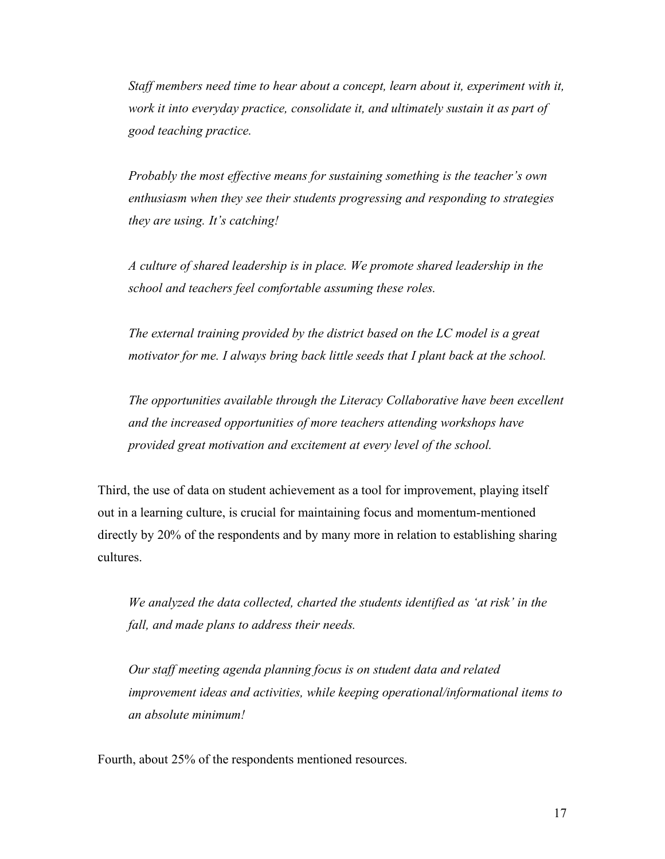*Staff members need time to hear about a concept, learn about it, experiment with it, work it into everyday practice, consolidate it, and ultimately sustain it as part of good teaching practice.*

*Probably the most effective means for sustaining something is the teacher's own enthusiasm when they see their students progressing and responding to strategies they are using. It's catching!*

*A culture of shared leadership is in place. We promote shared leadership in the school and teachers feel comfortable assuming these roles.*

*The external training provided by the district based on the LC model is a great motivator for me. I always bring back little seeds that I plant back at the school.*

*The opportunities available through the Literacy Collaborative have been excellent and the increased opportunities of more teachers attending workshops have provided great motivation and excitement at every level of the school.*

Third, the use of data on student achievement as a tool for improvement, playing itself out in a learning culture, is crucial for maintaining focus and momentum-mentioned directly by 20% of the respondents and by many more in relation to establishing sharing cultures.

*We analyzed the data collected, charted the students identified as 'at risk' in the fall, and made plans to address their needs.*

*Our staff meeting agenda planning focus is on student data and related improvement ideas and activities, while keeping operational/informational items to an absolute minimum!*

Fourth, about 25% of the respondents mentioned resources.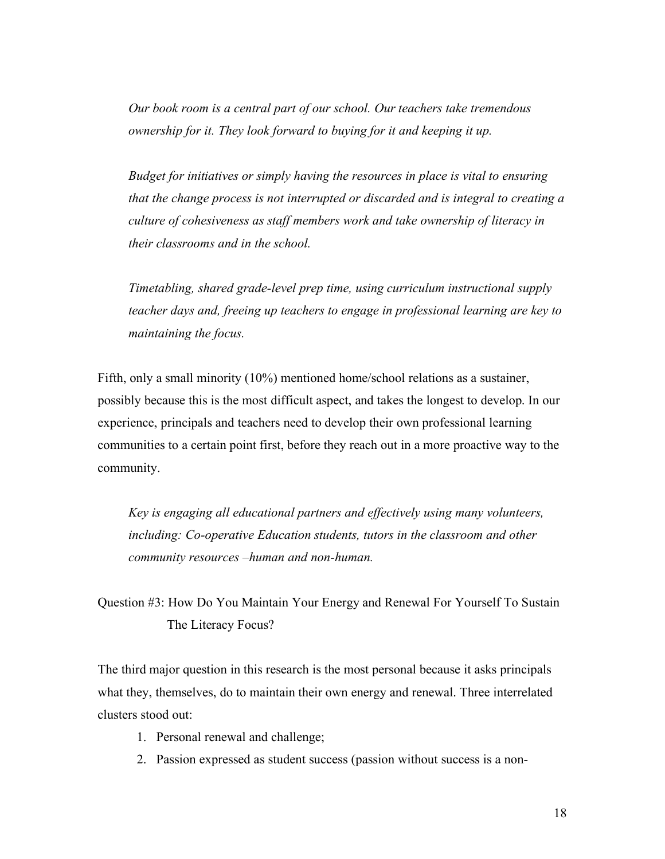*Our book room is a central part of our school. Our teachers take tremendous ownership for it. They look forward to buying for it and keeping it up.*

*Budget for initiatives or simply having the resources in place is vital to ensuring that the change process is not interrupted or discarded and is integral to creating a culture of cohesiveness as staff members work and take ownership of literacy in their classrooms and in the school.*

*Timetabling, shared grade-level prep time, using curriculum instructional supply teacher days and, freeing up teachers to engage in professional learning are key to maintaining the focus.*

Fifth, only a small minority (10%) mentioned home/school relations as a sustainer, possibly because this is the most difficult aspect, and takes the longest to develop. In our experience, principals and teachers need to develop their own professional learning communities to a certain point first, before they reach out in a more proactive way to the community.

*Key is engaging all educational partners and effectively using many volunteers, including: Co-operative Education students, tutors in the classroom and other community resources –human and non-human.*

Question #3: How Do You Maintain Your Energy and Renewal For Yourself To Sustain The Literacy Focus?

The third major question in this research is the most personal because it asks principals what they, themselves, do to maintain their own energy and renewal. Three interrelated clusters stood out:

- 1. Personal renewal and challenge;
- 2. Passion expressed as student success (passion without success is a non-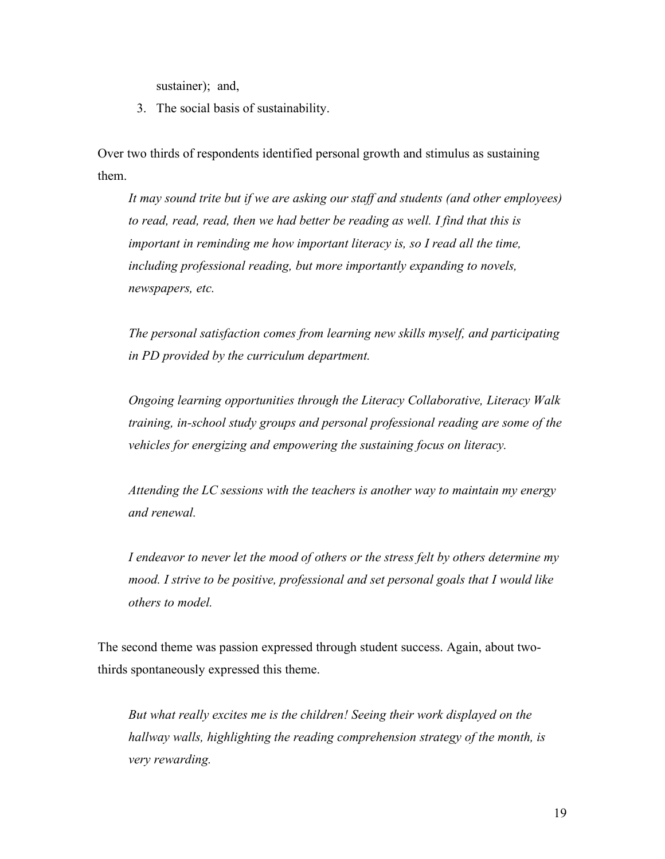sustainer); and,

3. The social basis of sustainability.

Over two thirds of respondents identified personal growth and stimulus as sustaining them.

*It may sound trite but if we are asking our staff and students (and other employees) to read, read, read, then we had better be reading as well. I find that this is important in reminding me how important literacy is, so I read all the time, including professional reading, but more importantly expanding to novels, newspapers, etc.*

*The personal satisfaction comes from learning new skills myself, and participating in PD provided by the curriculum department.*

*Ongoing learning opportunities through the Literacy Collaborative, Literacy Walk training, in-school study groups and personal professional reading are some of the vehicles for energizing and empowering the sustaining focus on literacy.*

*Attending the LC sessions with the teachers is another way to maintain my energy and renewal.*

*I endeavor to never let the mood of others or the stress felt by others determine my mood. I strive to be positive, professional and set personal goals that I would like others to model.*

The second theme was passion expressed through student success. Again, about twothirds spontaneously expressed this theme.

*But what really excites me is the children! Seeing their work displayed on the hallway walls, highlighting the reading comprehension strategy of the month, is very rewarding.*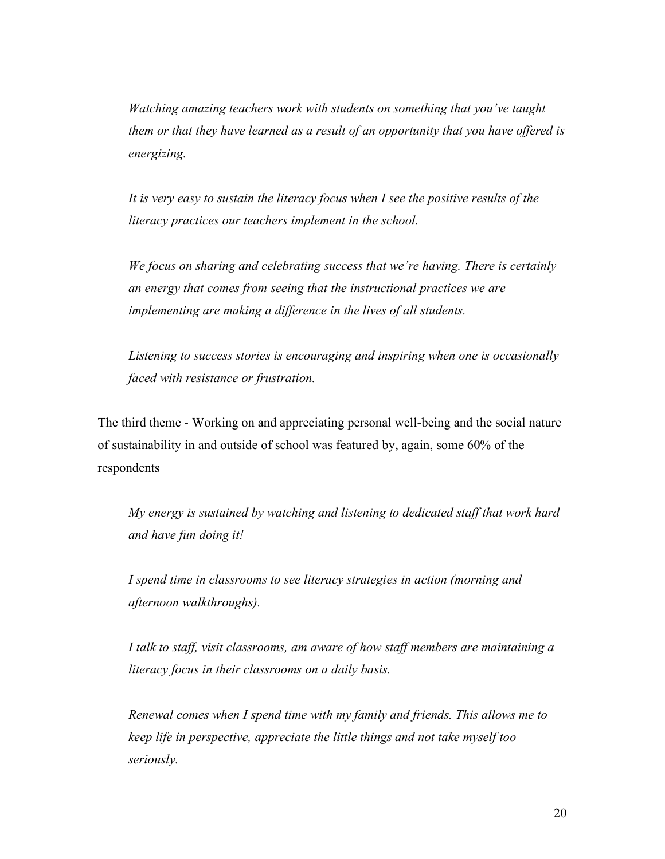*Watching amazing teachers work with students on something that you've taught them or that they have learned as a result of an opportunity that you have offered is energizing.*

*It is very easy to sustain the literacy focus when I see the positive results of the literacy practices our teachers implement in the school.*

*We focus on sharing and celebrating success that we're having. There is certainly an energy that comes from seeing that the instructional practices we are implementing are making a difference in the lives of all students.*

*Listening to success stories is encouraging and inspiring when one is occasionally faced with resistance or frustration.*

The third theme - Working on and appreciating personal well-being and the social nature of sustainability in and outside of school was featured by, again, some 60% of the respondents

*My energy is sustained by watching and listening to dedicated staff that work hard and have fun doing it!*

*I spend time in classrooms to see literacy strategies in action (morning and afternoon walkthroughs).*

*I talk to staff, visit classrooms, am aware of how staff members are maintaining a literacy focus in their classrooms on a daily basis.*

*Renewal comes when I spend time with my family and friends. This allows me to keep life in perspective, appreciate the little things and not take myself too seriously.*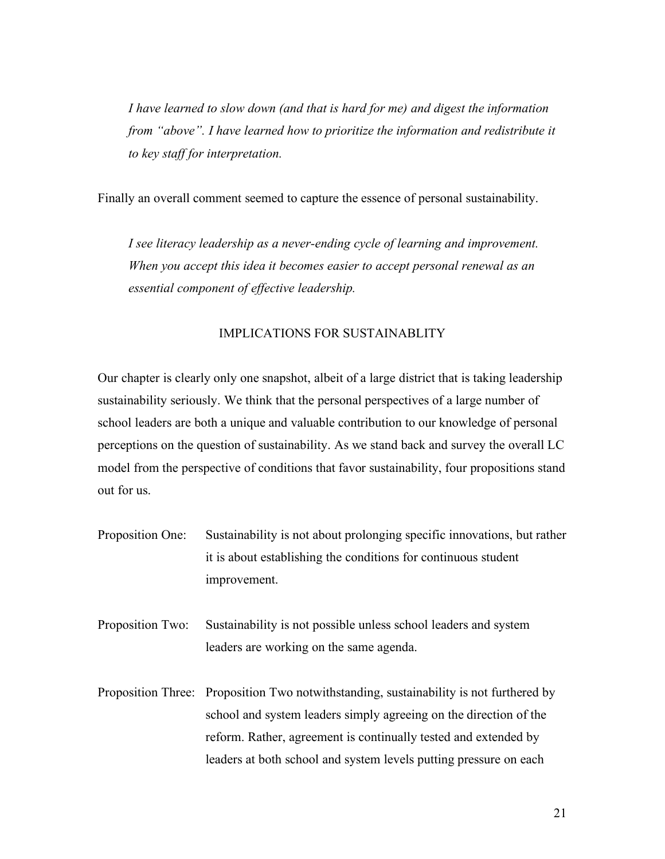*I have learned to slow down (and that is hard for me) and digest the information from "above". I have learned how to prioritize the information and redistribute it to key staff for interpretation.*

Finally an overall comment seemed to capture the essence of personal sustainability.

*I see literacy leadership as a never-ending cycle of learning and improvement. When you accept this idea it becomes easier to accept personal renewal as an essential component of effective leadership.*

## IMPLICATIONS FOR SUSTAINABLITY

Our chapter is clearly only one snapshot, albeit of a large district that is taking leadership sustainability seriously. We think that the personal perspectives of a large number of school leaders are both a unique and valuable contribution to our knowledge of personal perceptions on the question of sustainability. As we stand back and survey the overall LC model from the perspective of conditions that favor sustainability, four propositions stand out for us.

- Proposition One: Sustainability is not about prolonging specific innovations, but rather it is about establishing the conditions for continuous student improvement.
- Proposition Two: Sustainability is not possible unless school leaders and system leaders are working on the same agenda.
- Proposition Three: Proposition Two notwithstanding, sustainability is not furthered by school and system leaders simply agreeing on the direction of the reform. Rather, agreement is continually tested and extended by leaders at both school and system levels putting pressure on each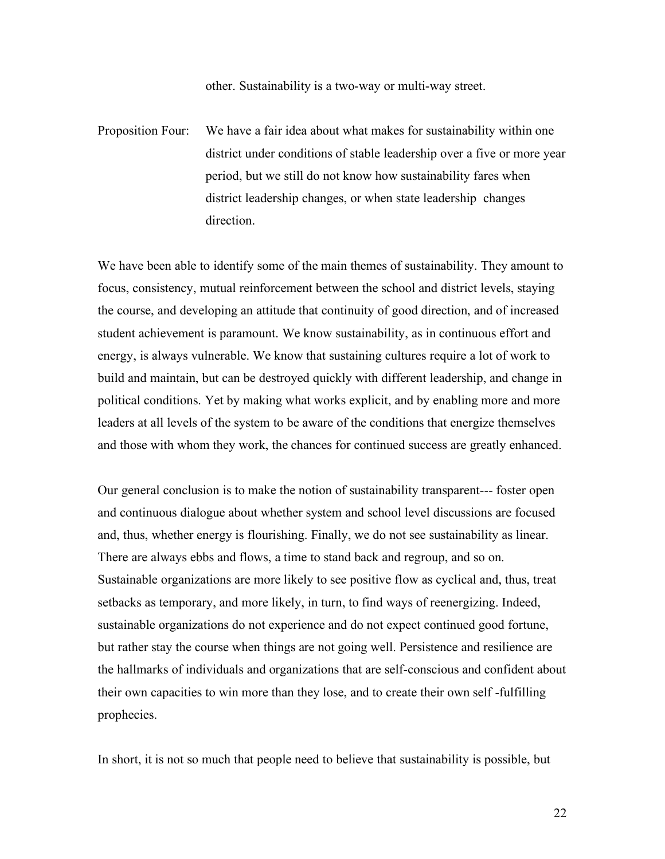other. Sustainability is a two-way or multi-way street.

Proposition Four: We have a fair idea about what makes for sustainability within one district under conditions of stable leadership over a five or more year period, but we still do not know how sustainability fares when district leadership changes, or when state leadership changes direction.

We have been able to identify some of the main themes of sustainability. They amount to focus, consistency, mutual reinforcement between the school and district levels, staying the course, and developing an attitude that continuity of good direction, and of increased student achievement is paramount. We know sustainability, as in continuous effort and energy, is always vulnerable. We know that sustaining cultures require a lot of work to build and maintain, but can be destroyed quickly with different leadership, and change in political conditions. Yet by making what works explicit, and by enabling more and more leaders at all levels of the system to be aware of the conditions that energize themselves and those with whom they work, the chances for continued success are greatly enhanced.

Our general conclusion is to make the notion of sustainability transparent--- foster open and continuous dialogue about whether system and school level discussions are focused and, thus, whether energy is flourishing. Finally, we do not see sustainability as linear. There are always ebbs and flows, a time to stand back and regroup, and so on. Sustainable organizations are more likely to see positive flow as cyclical and, thus, treat setbacks as temporary, and more likely, in turn, to find ways of reenergizing. Indeed, sustainable organizations do not experience and do not expect continued good fortune, but rather stay the course when things are not going well. Persistence and resilience are the hallmarks of individuals and organizations that are self-conscious and confident about their own capacities to win more than they lose, and to create their own self -fulfilling prophecies.

In short, it is not so much that people need to believe that sustainability is possible, but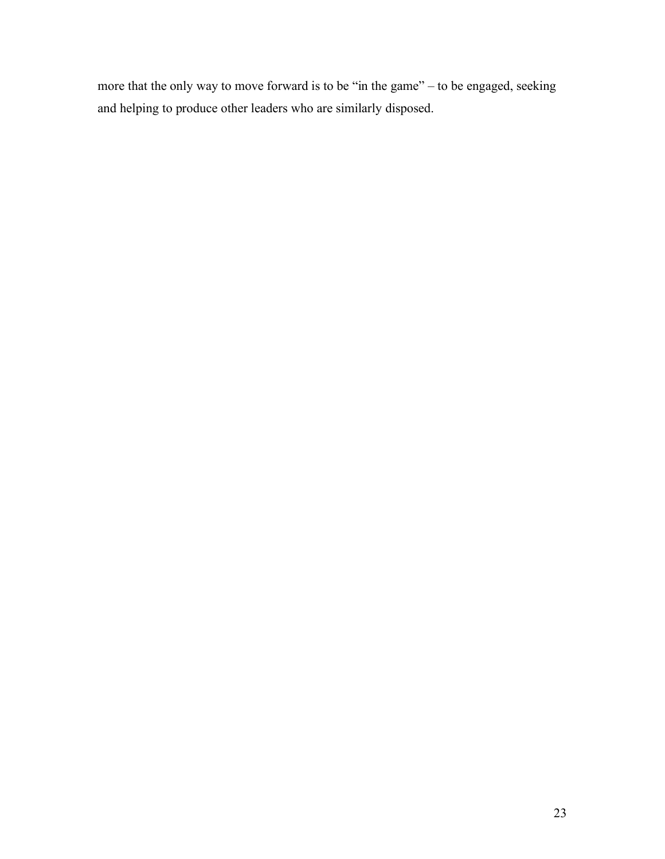more that the only way to move forward is to be "in the game" – to be engaged, seeking and helping to produce other leaders who are similarly disposed.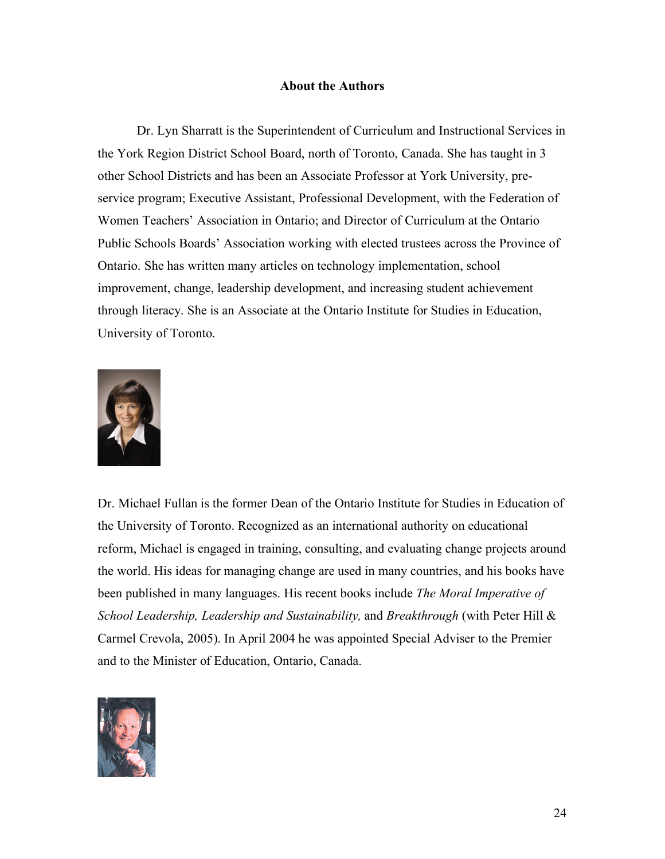#### **About the Authors**

Dr. Lyn Sharratt is the Superintendent of Curriculum and Instructional Services in the York Region District School Board, north of Toronto, Canada. She has taught in 3 other School Districts and has been an Associate Professor at York University, preservice program; Executive Assistant, Professional Development, with the Federation of Women Teachers' Association in Ontario; and Director of Curriculum at the Ontario Public Schools Boards' Association working with elected trustees across the Province of Ontario. She has written many articles on technology implementation, school improvement, change, leadership development, and increasing student achievement through literacy. She is an Associate at the Ontario Institute for Studies in Education, University of Toronto.



Dr. Michael Fullan is the former Dean of the Ontario Institute for Studies in Education of the University of Toronto. Recognized as an international authority on educational reform, Michael is engaged in training, consulting, and evaluating change projects around the world. His ideas for managing change are used in many countries, and his books have been published in many languages. His recent books include *The Moral Imperative of School Leadership, Leadership and Sustainability,* and *Breakthrough* (with Peter Hill & Carmel Crevola, 2005). In April 2004 he was appointed Special Adviser to the Premier and to the Minister of Education, Ontario, Canada.